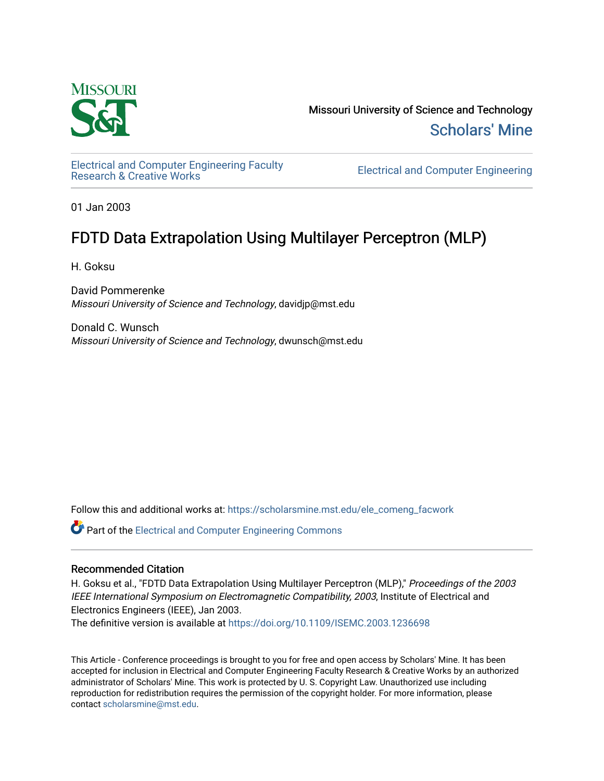

Missouri University of Science and Technology [Scholars' Mine](https://scholarsmine.mst.edu/) 

[Electrical and Computer Engineering Faculty](https://scholarsmine.mst.edu/ele_comeng_facwork)

**Electrical and Computer Engineering** 

01 Jan 2003

# FDTD Data Extrapolation Using Multilayer Perceptron (MLP)

H. Goksu

David Pommerenke Missouri University of Science and Technology, davidjp@mst.edu

Donald C. Wunsch Missouri University of Science and Technology, dwunsch@mst.edu

Follow this and additional works at: [https://scholarsmine.mst.edu/ele\\_comeng\\_facwork](https://scholarsmine.mst.edu/ele_comeng_facwork?utm_source=scholarsmine.mst.edu%2Fele_comeng_facwork%2F1629&utm_medium=PDF&utm_campaign=PDFCoverPages)

**C** Part of the Electrical and Computer Engineering Commons

### Recommended Citation

H. Goksu et al., "FDTD Data Extrapolation Using Multilayer Perceptron (MLP)," Proceedings of the 2003 IEEE International Symposium on Electromagnetic Compatibility, 2003, Institute of Electrical and Electronics Engineers (IEEE), Jan 2003.

The definitive version is available at <https://doi.org/10.1109/ISEMC.2003.1236698>

This Article - Conference proceedings is brought to you for free and open access by Scholars' Mine. It has been accepted for inclusion in Electrical and Computer Engineering Faculty Research & Creative Works by an authorized administrator of Scholars' Mine. This work is protected by U. S. Copyright Law. Unauthorized use including reproduction for redistribution requires the permission of the copyright holder. For more information, please contact [scholarsmine@mst.edu](mailto:scholarsmine@mst.edu).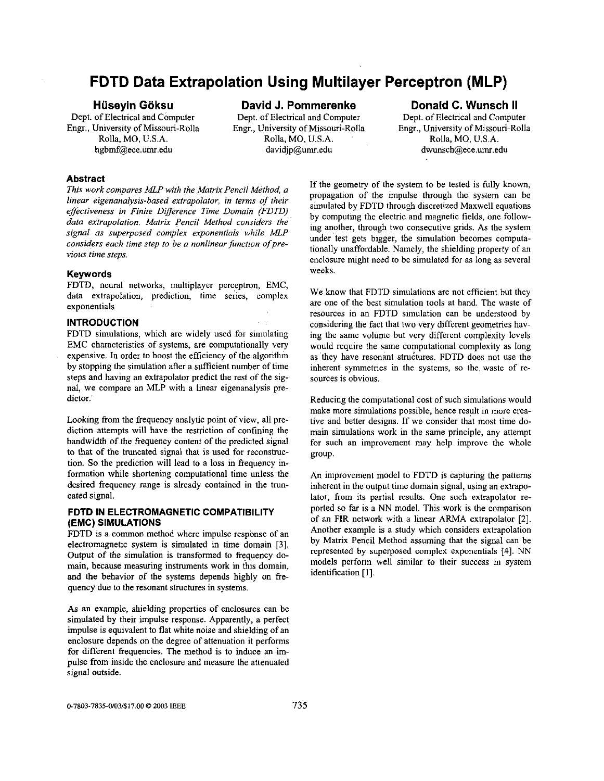## **FDTD Data Extrapolation Using Multilayer Perceptron (MLP)**

Dept. of Electrical and Computer Engr., University of Missouri-Rolla

**Huseyin Goksu David J. Pommerenke Donald C. Wunsch II**  Dept. of Electrical and Computer Engr., University of Missouri-Rolla Rolla, MO, U.S.A. Rolla, MO, U.S.A. Rolla, MO, U.S.A. Rolla, MO, U.S.A. [hghmf@ece.umr.edu](mailto:hghmf@ece.umr.edu) [davidjp@umr.edu](mailto:davidjp@umr.edu) [dwunsch@ece.umr.edu](mailto:dwunsch@ece.umr.edu) 

Dept. of Electrical and Computer Engr., University of Missouri-Rolla

### **Abstract**

*This work compares ULP with the Matrix Pencil Method, a linear eigenanalysis-based extrapolator, in terms of their effectiveness in Finite Difference Time Domain (FDTD) data extrapolation. Matrix Pencil Method considers the signal as superposed complex exponentials while MLP*  considers each time step to be a nonlinear function of pre*vious time steps.* 

#### **Keywords**

FDTD, neural networks, multiplayer perceptron, EMC, data extrapolation, prediction, time series, complex exponentials

#### **INTRODUCTION**

FDTD simulations, which are widely used for simulating EMC characteristics of systems, are computationally very expensive. In order to boost the efficiency of the algorithm by stopping the simulation after a sufficient number of time steps and having an extrapolator predict the rest of the signal, we compare an MLP with a linear eigenanalysis predictor.

Looking from the frequency analytic point of view, all prediction attempts will have the restriction of confining the bandwidth of the frequency content of the predicted signal to that of the truncated signal that is used for reconstmction. So the prediction will lead to a loss in frequency information while shortening computational time unless the desired frequency range is already contained in the truncated signal.

#### **FDTD IN ELECTROMAGNETIC COMPATIBILITY (EMC) SIMULATIONS**

FDTD is a common method where impulse response of an electromagnetic system is simulated in time domain **[3].**  Output of the simulation is transformed to frequency domain, because measuring instruments work in this domain, and the behavior of the systems depends highly on frequency due to the resonant structures in systems.

As an example, shielding properties of enclosures can he simulated hy their impulse response. Apparently, a perfect impulse **is** equivalent to flat white noise and shielding of an enclosure depends on the degree of attenuation it performs for different frequencies. The method is to induce **an** impulse from inside the enclosure and measure the attenuated signal outside.

If the geometry of the system to he tested is fully known, propagation of the impulse through the system can he simulated by FDTD through discretized Maxwell equations by computing the electric and magnetic fields, one following another, through two consecutive grids. As the system under 'test gets bigger, the simulation becomes computationally unaffordahle. Namely, the shielding property of an enclosure might need to he simulated for as long as several weeks.

We know that FDTD simulations are not efficient but they are one of the hest simulation tools at hand. The waste of resources in an FDTD simulation can he understood by considering the fact that two very different geometries having the same volume but very different complexity levels would require the same computational complexity as long as they have resonant structures. FDTD does not use the inherent symmetries in the systems, *so* the. waste of resources is obvious.

Reducing the computational cost of such simulations would make more simulations possible, hence result in more creative and better designs. If we consider that most time domain simulations work in the same principle, any attempt for such an improvement may help improve the whole group.

An improvement model to FDTD is capturing the patterns inherent in the output time domain signal, using an extrapolator, from its partial results. One such extrapolator reported so far **is** a NN model. This work is the comparison of an FIR network with a linear ARMA extrapolator **[2].**  Another example is a study which considers extrapolation by Matrix Pencil Method assuming that the signal can he represented by superposed complex exponentials [4]. **NN**  models perform well similar to their success in system identification **[l].**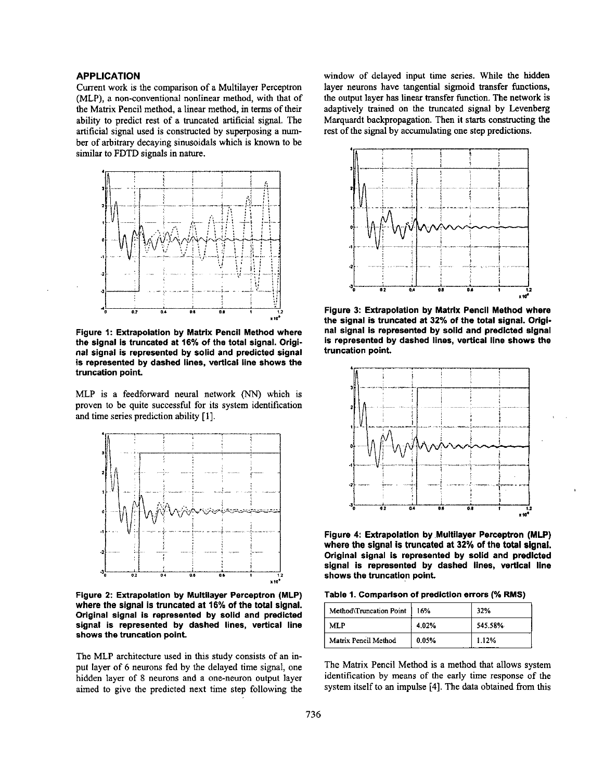#### <span id="page-2-0"></span>APPLICATION

Current work is the comparison of a Multilayer Perceptron (MLP), a non-conventional nonlinear method, with that of the Matrix Pencil method, a linear method, in terms of their ability to predict rest of a truncated artificial signal. The artificial signal used is constructed by superposing a number of arbitrary decaying sinusoidals which is known to be similar to FDTD signals in nature.



Figure I: Extrapolation by Matrix Pencil Method where the signal is truncated at 16% of the total signal. Original signal is represented by solid and predicted signal is represented by dashed lines, vertical line shows the truncation point.

MLP is a feedforward neural network (NN) which is proven to be quite successful for its system identification and time series prediction ability [I].



Figure 2: Extrapolation by Multilayer Perceptron (MLP) where the signal is truncated at 16% of the total signal. Original signal is represented by solid and predicted signal is represented by dashed lines, vertical line shows the truncation point.

The MLP architecture used in this study consists of an input layer of *6* neurons fed by the delayed time signal, one hidden layer of 8 neurons and a one-neuron output layer aimed to give the predicted next time step following the

window of delayed input time series. While the hidden layer neurons have tangential sigmoid transfer functions, the output layer has linear transfer function. The network is adaptively trained **on** the truncated signal by Levenberg Marquardt backpropagation. Then it **starts** constructing the rest of the signal by accumulating one step predictions.



Figure 3: Extrapolation by Matrix Pencil Method where the signal is truncated at **32%** of the total signal. Origlnal signal is represented by solid and predicted signal is represented by dashed lines, vertical line shows the truncation point.



,

Figure 4: Extrapolation by Multilayer Perceptron (MLP) where the signal is truncated at **32%** of the total signal. Original signal is represented by solid and predlcted signal is represented by dashed lines, vertical line shows the truncation point.

Table 1. Comparison of prediction errors (% RMS)

| Method\Truncation Point | 16%   | 32%     |
|-------------------------|-------|---------|
| MLP                     | 4.02% | 545.58% |
| Matrix Pencil Method    | 0.05% | 1.12%   |

The Matrix Pencil Method is a method that allows system identification by means of the early time response of the system itself to an impulse [4]. The data obtained from this